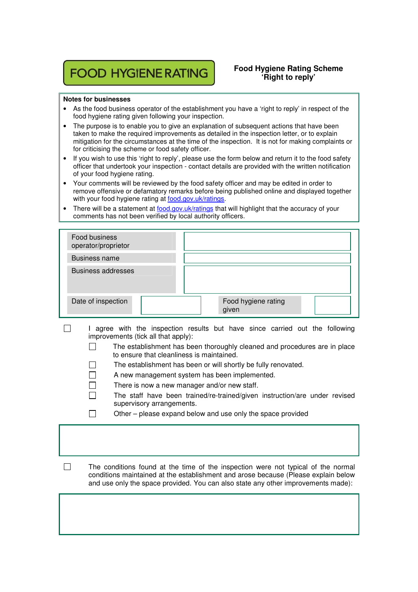## **FOOD HYGIENE RATING**

## **Food Hygiene Rating Scheme 'Right to reply'**

## **Notes for businesses**

- As the food business operator of the establishment you have a 'right to reply' in respect of the food hygiene rating given following your inspection.
- The purpose is to enable you to give an explanation of subsequent actions that have been taken to make the required improvements as detailed in the inspection letter, or to explain mitigation for the circumstances at the time of the inspection. It is not for making complaints or for criticising the scheme or food safety officer.
- If you wish to use this 'right to reply', please use the form below and return it to the food safety officer that undertook your inspection - contact details are provided with the written notification of your food hygiene rating.
- Your comments will be reviewed by the food safety officer and may be edited in order to remove offensive or defamatory remarks before being published online and displayed together with your food hygiene rating at food.gov.uk/ratings.
- There will be a statement at food.gov.uk/ratings that will highlight that the accuracy of your comments has not been verified by local authority officers.

| Food business<br>operator/proprietor |  |                              |  |
|--------------------------------------|--|------------------------------|--|
| Business name                        |  |                              |  |
| <b>Business addresses</b>            |  |                              |  |
| Date of inspection                   |  | Food hygiene rating<br>given |  |

- $\Box$  I agree with the inspection results but have since carried out the following improvements (tick all that apply):
	- $\Box$  The establishment has been thoroughly cleaned and procedures are in place to ensure that cleanliness is maintained.
		- The establishment has been or will shortly be fully renovated.
		- A new management system has been implemented.
	- There is now a new manager and/or new staff. П
	- $\Box$  The staff have been trained/re-trained/given instruction/are under revised supervisory arrangements.
	- $\Box$  Other please expand below and use only the space provided
- $\Box$  The conditions found at the time of the inspection were not typical of the normal conditions maintained at the establishment and arose because (Please explain below and use only the space provided. You can also state any other improvements made):